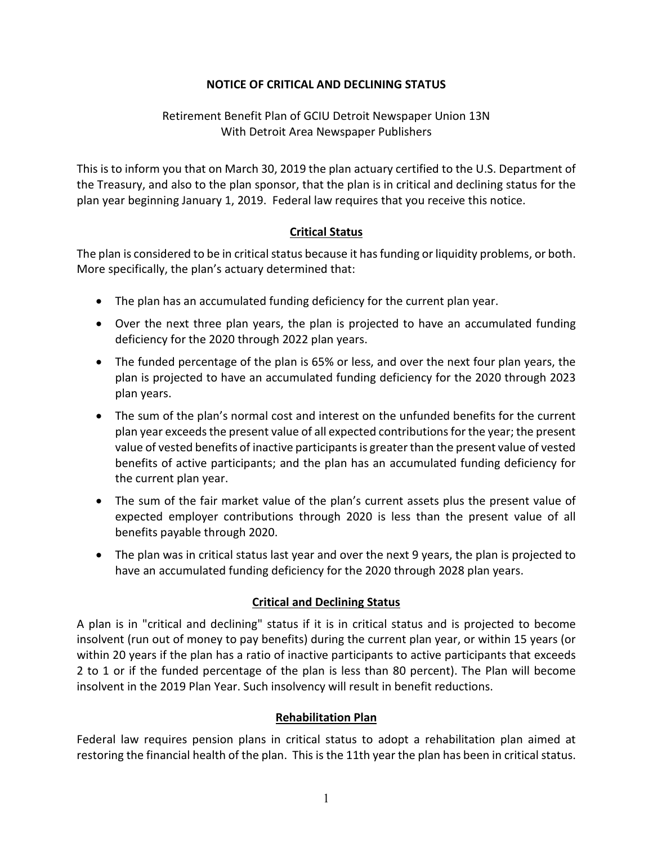### **NOTICE OF CRITICAL AND DECLINING STATUS**

### Retirement Benefit Plan of GCIU Detroit Newspaper Union 13N With Detroit Area Newspaper Publishers

This is to inform you that on March 30, 2019 the plan actuary certified to the U.S. Department of the Treasury, and also to the plan sponsor, that the plan is in critical and declining status for the plan year beginning January 1, 2019. Federal law requires that you receive this notice.

### **Critical Status**

The plan is considered to be in critical status because it has funding or liquidity problems, or both. More specifically, the plan's actuary determined that:

- The plan has an accumulated funding deficiency for the current plan year.
- Over the next three plan years, the plan is projected to have an accumulated funding deficiency for the 2020 through 2022 plan years.
- The funded percentage of the plan is 65% or less, and over the next four plan years, the plan is projected to have an accumulated funding deficiency for the 2020 through 2023 plan years.
- The sum of the plan's normal cost and interest on the unfunded benefits for the current plan year exceeds the present value of all expected contributions for the year; the present value of vested benefits of inactive participants is greater than the present value of vested benefits of active participants; and the plan has an accumulated funding deficiency for the current plan year.
- The sum of the fair market value of the plan's current assets plus the present value of expected employer contributions through 2020 is less than the present value of all benefits payable through 2020.
- The plan was in critical status last year and over the next 9 years, the plan is projected to have an accumulated funding deficiency for the 2020 through 2028 plan years.

# **Critical and Declining Status**

A plan is in "critical and declining" status if it is in critical status and is projected to become insolvent (run out of money to pay benefits) during the current plan year, or within 15 years (or within 20 years if the plan has a ratio of inactive participants to active participants that exceeds 2 to 1 or if the funded percentage of the plan is less than 80 percent). The Plan will become insolvent in the 2019 Plan Year. Such insolvency will result in benefit reductions.

### **Rehabilitation Plan**

Federal law requires pension plans in critical status to adopt a rehabilitation plan aimed at restoring the financial health of the plan. This is the 11th year the plan has been in critical status.